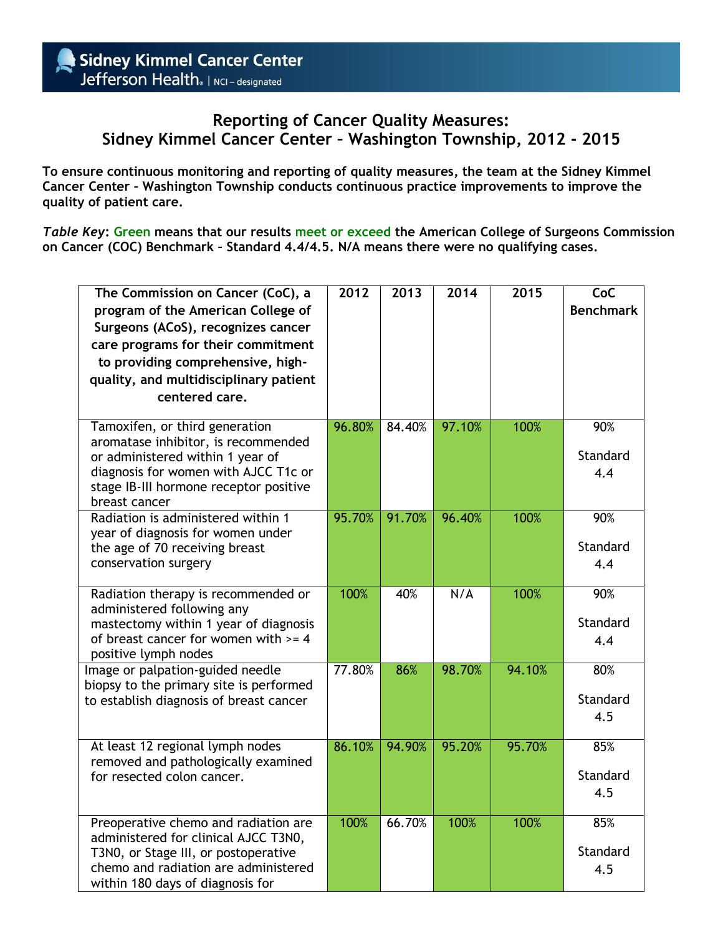## **Reporting of Cancer Quality Measures: Sidney Kimmel Cancer Center – Washington Township, 2012 - 2015**

**To ensure continuous monitoring and reporting of quality measures, the team at the Sidney Kimmel Cancer Center – Washington Township conducts continuous practice improvements to improve the quality of patient care.**

*Table Key***: Green means that our results meet or exceed the American College of Surgeons Commission on Cancer (COC) Benchmark – Standard 4.4/4.5. N/A means there were no qualifying cases.** 

| The Commission on Cancer (CoC), a<br>program of the American College of<br>Surgeons (ACoS), recognizes cancer<br>care programs for their commitment<br>to providing comprehensive, high-<br>quality, and multidisciplinary patient<br>centered care. | 2012   | 2013   | 2014   | 2015   | CoC<br><b>Benchmark</b> |
|------------------------------------------------------------------------------------------------------------------------------------------------------------------------------------------------------------------------------------------------------|--------|--------|--------|--------|-------------------------|
| Tamoxifen, or third generation<br>aromatase inhibitor, is recommended<br>or administered within 1 year of<br>diagnosis for women with AJCC T1c or<br>stage IB-III hormone receptor positive<br>breast cancer                                         | 96.80% | 84.40% | 97.10% | 100%   | 90%<br>Standard<br>4.4  |
| Radiation is administered within 1<br>year of diagnosis for women under<br>the age of 70 receiving breast<br>conservation surgery                                                                                                                    | 95.70% | 91.70% | 96.40% | 100%   | 90%<br>Standard<br>4.4  |
| Radiation therapy is recommended or<br>administered following any<br>mastectomy within 1 year of diagnosis<br>of breast cancer for women with $>= 4$<br>positive lymph nodes                                                                         | 100%   | 40%    | N/A    | 100%   | 90%<br>Standard<br>4.4  |
| Image or palpation-guided needle<br>biopsy to the primary site is performed<br>to establish diagnosis of breast cancer                                                                                                                               | 77.80% | 86%    | 98.70% | 94.10% | 80%<br>Standard<br>4.5  |
| At least 12 regional lymph nodes<br>removed and pathologically examined<br>for resected colon cancer.                                                                                                                                                | 86.10% | 94.90% | 95.20% | 95.70% | 85%<br>Standard<br>4.5  |
| Preoperative chemo and radiation are<br>administered for clinical AJCC T3N0,<br>T3N0, or Stage III, or postoperative<br>chemo and radiation are administered<br>within 180 days of diagnosis for                                                     | 100%   | 66.70% | 100%   | 100%   | 85%<br>Standard<br>4.5  |